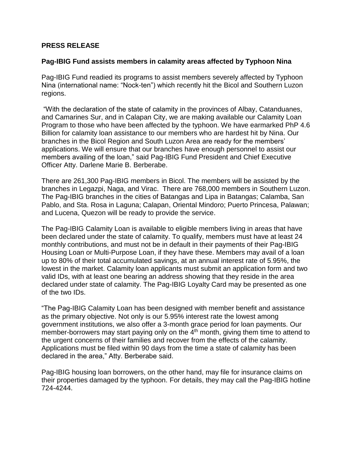## **PRESS RELEASE**

## **Pag-IBIG Fund assists members in calamity areas affected by Typhoon Nina**

Pag-IBIG Fund readied its programs to assist members severely affected by Typhoon Nina (international name: "Nock-ten") which recently hit the Bicol and Southern Luzon regions.

"With the declaration of the state of calamity in the provinces of Albay, Catanduanes, and Camarines Sur, and in Calapan City, we are making available our Calamity Loan Program to those who have been affected by the typhoon. We have earmarked PhP 4.6 Billion for calamity loan assistance to our members who are hardest hit by Nina. Our branches in the Bicol Region and South Luzon Area are ready for the members' applications. We will ensure that our branches have enough personnel to assist our members availing of the loan," said Pag-IBIG Fund President and Chief Executive Officer Atty. Darlene Marie B. Berberabe.

There are 261,300 Pag-IBIG members in Bicol. The members will be assisted by the branches in Legazpi, Naga, and Virac. There are 768,000 members in Southern Luzon. The Pag-IBIG branches in the cities of Batangas and Lipa in Batangas; Calamba, San Pablo, and Sta. Rosa in Laguna; Calapan, Oriental Mindoro; Puerto Princesa, Palawan; and Lucena, Quezon will be ready to provide the service.

The Pag-IBIG Calamity Loan is available to eligible members living in areas that have been declared under the state of calamity. To qualify, members must have at least 24 monthly contributions, and must not be in default in their payments of their Pag-IBIG Housing Loan or Multi-Purpose Loan, if they have these. Members may avail of a loan up to 80% of their total accumulated savings, at an annual interest rate of 5.95%, the lowest in the market. Calamity loan applicants must submit an application form and two valid IDs, with at least one bearing an address showing that they reside in the area declared under state of calamity. The Pag-IBIG Loyalty Card may be presented as one of the two IDs.

"The Pag-IBIG Calamity Loan has been designed with member benefit and assistance as the primary objective. Not only is our 5.95% interest rate the lowest among government institutions, we also offer a 3-month grace period for loan payments. Our member-borrowers may start paying only on the  $4<sup>th</sup>$  month, giving them time to attend to the urgent concerns of their families and recover from the effects of the calamity. Applications must be filed within 90 days from the time a state of calamity has been declared in the area," Atty. Berberabe said.

Pag-IBIG housing loan borrowers, on the other hand, may file for insurance claims on their properties damaged by the typhoon. For details, they may call the Pag-IBIG hotline 724-4244.